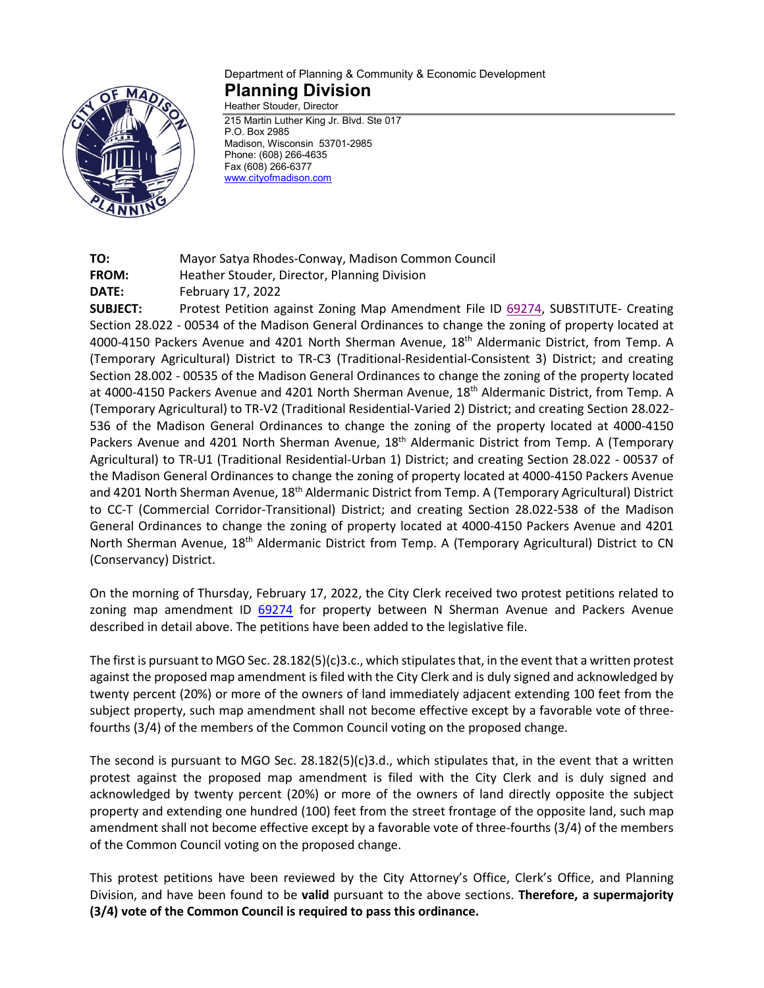

## Department of Planning & Community & Economic Development **Planning Division** Heather Stouder, Director

215 Martin Luther King Jr. Blvd. Ste 017 P.O. Box 2985 Madison, Wisconsin 53701-2985 Phone: (608) 266-4635 Fax (608) 266-6377 [www.cityofmadison.com](http://www.cityofmadison.com/)

**TO:** Mayor Satya Rhodes-Conway, Madison Common Council **FROM:** Heather Stouder, Director, Planning Division **DATE:** February 17, 2022

**SUBJECT:** Protest Petition against Zoning Map Amendment File ID [69274,](https://madison.legistar.com/LegislationDetail.aspx?ID=5379534&GUID=3EE75293-21C4-40A5-AEBB-66B0FE52FDD9&Options=ID|Text|&Search=raemisch) SUBSTITUTE- Creating Section 28.022 - 00534 of the Madison General Ordinances to change the zoning of property located at 4000-4150 Packers Avenue and 4201 North Sherman Avenue, 18th Aldermanic District, from Temp. A (Temporary Agricultural) District to TR-C3 (Traditional-Residential-Consistent 3) District; and creating Section 28.002 - 00535 of the Madison General Ordinances to change the zoning of the property located at 4000-4150 Packers Avenue and 4201 North Sherman Avenue, 18th Aldermanic District, from Temp. A (Temporary Agricultural) to TR-V2 (Traditional Residential-Varied 2) District; and creating Section 28.022- 536 of the Madison General Ordinances to change the zoning of the property located at 4000-4150 Packers Avenue and 4201 North Sherman Avenue, 18<sup>th</sup> Aldermanic District from Temp. A (Temporary Agricultural) to TR-U1 (Traditional Residential-Urban 1) District; and creating Section 28.022 - 00537 of the Madison General Ordinances to change the zoning of property located at 4000-4150 Packers Avenue and 4201 North Sherman Avenue, 18<sup>th</sup> Aldermanic District from Temp. A (Temporary Agricultural) District to CC-T (Commercial Corridor-Transitional) District; and creating Section 28.022-538 of the Madison General Ordinances to change the zoning of property located at 4000-4150 Packers Avenue and 4201 North Sherman Avenue, 18th Aldermanic District from Temp. A (Temporary Agricultural) District to CN (Conservancy) District.

On the morning of Thursday, February 17, 2022, the City Clerk received two protest petitions related to zoning map amendment ID [69274](https://madison.legistar.com/LegislationDetail.aspx?ID=5379534&GUID=3EE75293-21C4-40A5-AEBB-66B0FE52FDD9&Options=ID|Text|&Search=raemisch) for property between N Sherman Avenue and Packers Avenue described in detail above. The petitions have been added to the legislative file.

The first is pursuant to MGO Sec. 28.182(5)(c)3.c., which stipulates that, in the event that a written protest against the proposed map amendment is filed with the City Clerk and is duly signed and acknowledged by twenty percent (20%) or more of the owners of land immediately adjacent extending 100 feet from the subject property, such map amendment shall not become effective except by a favorable vote of threefourths (3/4) of the members of the Common Council voting on the proposed change.

The second is pursuant to MGO Sec. 28.182(5)(c)3.d., which stipulates that, in the event that a written protest against the proposed map amendment is filed with the City Clerk and is duly signed and acknowledged by twenty percent (20%) or more of the owners of land directly opposite the subject property and extending one hundred (100) feet from the street frontage of the opposite land, such map amendment shall not become effective except by a favorable vote of three-fourths (3/4) of the members of the Common Council voting on the proposed change.

This protest petitions have been reviewed by the City Attorney's Office, Clerk's Office, and Planning Division, and have been found to be **valid** pursuant to the above sections. **Therefore, a supermajority (3/4) vote of the Common Council is required to pass this ordinance.**